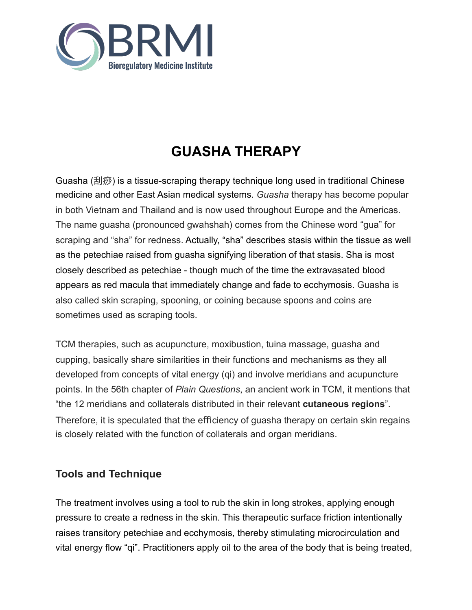

# **GUASHA THERAPY**

Guasha (刮痧) is a tissue-scraping therapy technique long used in traditional Chinese medicine and other East Asian medical systems. *Guasha* therapy has become popular in both Vietnam and Thailand and is now used throughout Europe and the Americas. The name guasha (pronounced gwahshah) comes from the Chinese word "gua" for scraping and "sha" for redness. Actually, "sha" describes stasis within the tissue as well as the petechiae raised from guasha signifying liberation of that stasis. Sha is most closely described as petechiae - though much of the time the extravasated blood appears as red macula that immediately change and fade to ecchymosis. Guasha is also called skin scraping, spooning, or coining because spoons and coins are sometimes used as scraping tools.

TCM therapies, such as acupuncture, moxibustion, tuina massage, guasha and cupping, basically share similarities in their functions and mechanisms as they all developed from concepts of vital energy (qi) and involve meridians and acupuncture points. In the 56th chapter of *Plain Questions*, an ancient work in TCM, it mentions that "the 12 meridians and collaterals distributed in their relevant **cutaneous regions**". Therefore, it is speculated that the efficiency of quasha therapy on certain skin regains is closely related with the function of collaterals and organ meridians.

## **Tools and Technique**

The treatment involves using a tool to rub the skin in long strokes, applying enough pressure to create a redness in the skin. This therapeutic surface friction intentionally raises transitory petechiae and ecchymosis, thereby stimulating microcirculation and vital energy flow "qi". Practitioners apply oil to the area of the body that is being treated,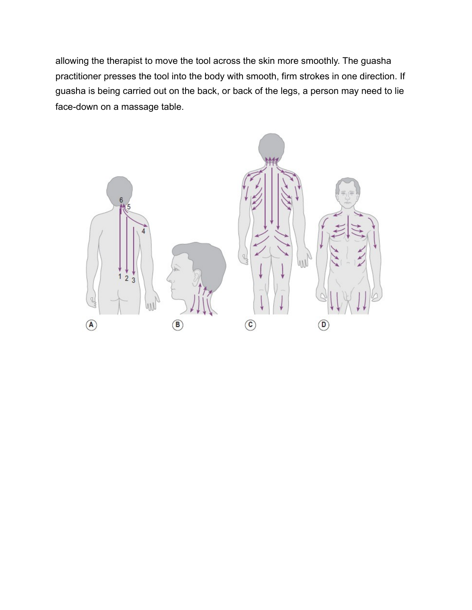allowing the therapist to move the tool across the skin more smoothly. The guasha practitioner presses the tool into the body with smooth, firm strokes in one direction. If guasha is being carried out on the back, or back of the legs, a person may need to lie face-down on a massage table.

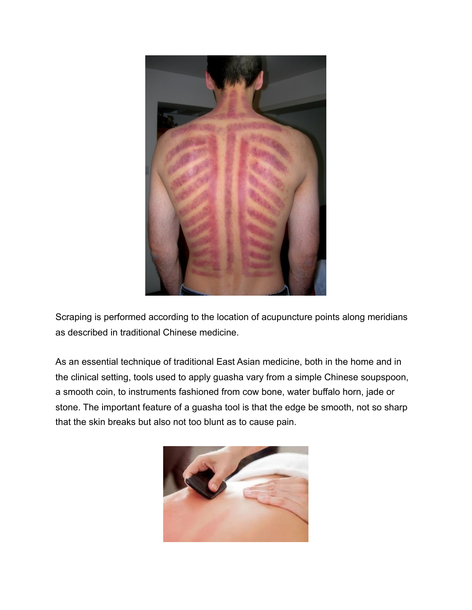

Scraping is performed according to the location of acupuncture points along meridians as described in traditional Chinese medicine.

As an essential technique of traditional East Asian medicine, both in the home and in the clinical setting, tools used to apply guasha vary from a simple Chinese soupspoon, a smooth coin, to instruments fashioned from cow bone, water buffalo horn, jade or stone. The important feature of a guasha tool is that the edge be smooth, not so sharp that the skin breaks but also not too blunt as to cause pain.

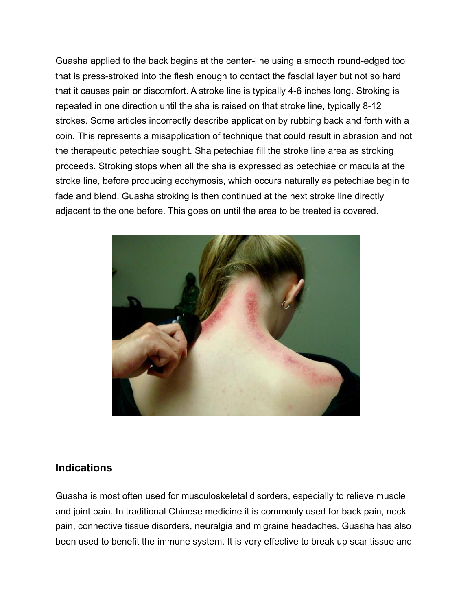Guasha applied to the back begins at the center-line using a smooth round-edged tool that is press-stroked into the flesh enough to contact the fascial layer but not so hard that it causes pain or discomfort. A stroke line is typically 4-6 inches long. Stroking is repeated in one direction until the sha is raised on that stroke line, typically 8-12 strokes. Some articles incorrectly describe application by rubbing back and forth with a coin. This represents a misapplication of technique that could result in abrasion and not the therapeutic petechiae sought. Sha petechiae fill the stroke line area as stroking proceeds. Stroking stops when all the sha is expressed as petechiae or macula at the stroke line, before producing ecchymosis, which occurs naturally as petechiae begin to fade and blend. Guasha stroking is then continued at the next stroke line directly adjacent to the one before. This goes on until the area to be treated is covered.



#### **Indications**

Guasha is most often used for musculoskeletal disorders, especially to relieve muscle and joint pain. In traditional Chinese medicine it is commonly used for back pain, neck pain, connective tissue disorders, neuralgia and migraine headaches. Guasha has also been used to benefit the immune system. It is very effective to break up scar tissue and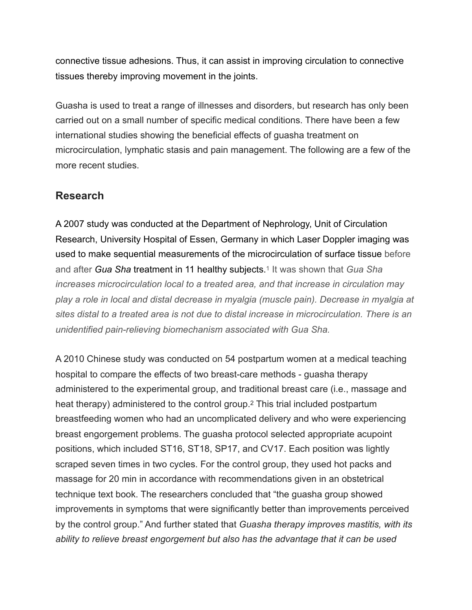connective tissue adhesions. Thus, it can assist in improving circulation to connective tissues thereby improving movement in the joints.

Guasha is used to treat a range of illnesses and disorders, but research has only been carried out on a small number of specific medical conditions. There have been a few international studies showing the beneficial effects of guasha treatment on microcirculation, lymphatic stasis and pain management. The following are a few of the more recent studies.

## **Research**

A 2007 study was conducted at the Department of Nephrology, Unit of Circulation Research, University Hospital of Essen, Germany in which Laser Doppler imaging was used to make sequential measurements of the microcirculation of surface tissue before and after *Gua Sha* treatment in 11 healthy subjects.1 It was shown that *Gua Sha increases microcirculation local to a treated area, and that increase in circulation may play a role in local and distal decrease in myalgia (muscle pain). Decrease in myalgia at sites distal to a treated area is not due to distal increase in microcirculation. There is an unidentified pain-relieving biomechanism associated with Gua Sha.*

A 2010 Chinese study was conducted on 54 postpartum women at a medical teaching hospital to compare the effects of two breast-care methods - guasha therapy administered to the experimental group, and traditional breast care (i.e., massage and heat therapy) administered to the control group.2 This trial included postpartum breastfeeding women who had an uncomplicated delivery and who were experiencing breast engorgement problems. The guasha protocol selected appropriate acupoint positions, which included ST16, ST18, SP17, and CV17. Each position was lightly scraped seven times in two cycles. For the control group, they used hot packs and massage for 20 min in accordance with recommendations given in an obstetrical technique text book. The researchers concluded that "the guasha group showed improvements in symptoms that were significantly better than improvements perceived by the control group." And further stated that *Guasha therapy improves mastitis, with its ability to relieve breast engorgement but also has the advantage that it can be used*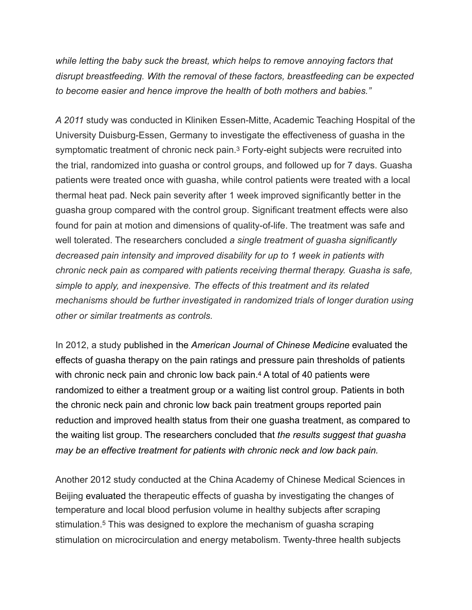*while letting the baby suck the breast, which helps to remove annoying factors that disrupt breastfeeding. With the removal of these factors, breastfeeding can be expected to become easier and hence improve the health of both mothers and babies."*

*A 2011* study was conducted in Kliniken Essen-Mitte, Academic Teaching Hospital of the University Duisburg-Essen, Germany to investigate the effectiveness of guasha in the symptomatic treatment of chronic neck pain.3 Forty-eight subjects were recruited into the trial, randomized into guasha or control groups, and followed up for 7 days. Guasha patients were treated once with guasha, while control patients were treated with a local thermal heat pad. Neck pain severity after 1 week improved significantly better in the guasha group compared with the control group. Significant treatment effects were also found for pain at motion and dimensions of quality-of-life. The treatment was safe and well tolerated. The researchers concluded *a single treatment of guasha significantly decreased pain intensity and improved disability for up to 1 week in patients with chronic neck pain as compared with patients receiving thermal therapy. Guasha is safe, simple to apply, and inexpensive. The effects of this treatment and its related mechanisms should be further investigated in randomized trials of longer duration using other or similar treatments as controls.*

In 2012, a study published in the *American Journal of Chinese Medicine* evaluated the effects of guasha therapy on the pain ratings and pressure pain thresholds of patients with chronic neck pain and chronic low back pain.<sup>4</sup> A total of 40 patients were randomized to either a treatment group or a waiting list control group. Patients in both the chronic neck pain and chronic low back pain treatment groups reported pain reduction and improved health status from their one guasha treatment, as compared to the waiting list group. The researchers concluded that *the results suggest that guasha may be an effective treatment for patients with chronic neck and low back pain.*

Another 2012 study conducted at the China Academy of Chinese Medical Sciences in Beijing evaluated the therapeutic effects of guasha by investigating the changes of temperature and local blood perfusion volume in healthy subjects after scraping stimulation.5 This was designed to explore the mechanism of guasha scraping stimulation on microcirculation and energy metabolism. Twenty-three health subjects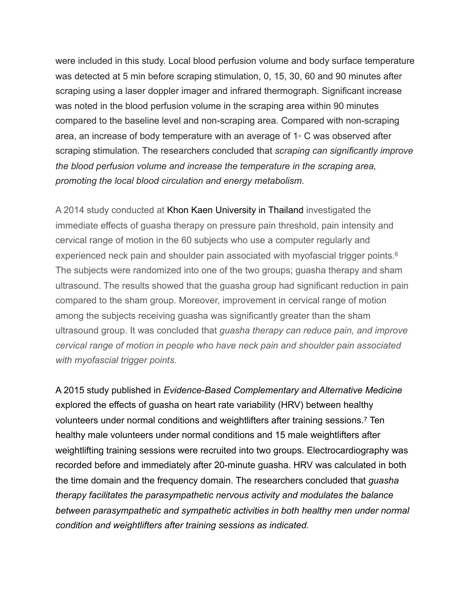were included in this study. Local blood perfusion volume and body surface temperature was detected at 5 min before scraping stimulation, 0, 15, 30, 60 and 90 minutes after scraping using a laser doppler imager and infrared thermograph. Significant increase was noted in the blood perfusion volume in the scraping area within 90 minutes compared to the baseline level and non-scraping area. Compared with non-scraping area, an increase of body temperature with an average of 1◦ C was observed after scraping stimulation. The researchers concluded that *scraping can significantly improve the blood perfusion volume and increase the temperature in the scraping area, promoting the local blood circulation and energy metabolism.* 

A 2014 study conducted at Khon Kaen University in Thailand investigated the immediate effects of guasha therapy on pressure pain threshold, pain intensity and cervical range of motion in the 60 subjects who use a computer regularly and experienced neck pain and shoulder pain associated with myofascial trigger points.<sup>6</sup> The subjects were randomized into one of the two groups; guasha therapy and sham ultrasound. The results showed that the guasha group had significant reduction in pain compared to the sham group. Moreover, improvement in cervical range of motion among the subjects receiving guasha was significantly greater than the sham ultrasound group. It was concluded that *guasha therapy can reduce pain, and improve cervical range of motion in people who have neck pain and shoulder pain associated with myofascial trigger points.* 

A 2015 study published in *Evidence-Based Complementary and Alternative Medicine* explored the effects of guasha on heart rate variability (HRV) between healthy volunteers under normal conditions and weightlifters after training sessions.7 Ten healthy male volunteers under normal conditions and 15 male weightlifters after weightlifting training sessions were recruited into two groups. Electrocardiography was recorded before and immediately after 20-minute guasha. HRV was calculated in both the time domain and the frequency domain. The researchers concluded that *guasha therapy facilitates the parasympathetic nervous activity and modulates the balance between parasympathetic and sympathetic activities in both healthy men under normal condition and weightlifters after training sessions as indicated.*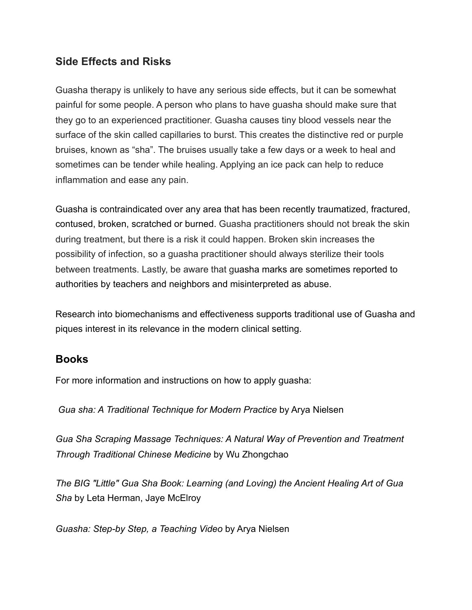### **Side Effects and Risks**

Guasha therapy is unlikely to have any serious side effects, but it can be somewhat painful for some people. A person who plans to have guasha should make sure that they go to an experienced practitioner. Guasha causes tiny blood vessels near the surface of the skin called capillaries to burst. This creates the distinctive red or purple bruises, known as "sha". The bruises usually take a few days or a week to heal and sometimes can be tender while healing. Applying an ice pack can help to reduce inflammation and ease any pain.

Guasha is contraindicated over any area that has been recently traumatized, fractured, contused, broken, scratched or burned. Guasha practitioners should not break the skin during treatment, but there is a risk it could happen. Broken skin increases the possibility of infection, so a guasha practitioner should always sterilize their tools between treatments. Lastly, be aware that guasha marks are sometimes reported to authorities by teachers and neighbors and misinterpreted as abuse.

Research into biomechanisms and effectiveness supports traditional use of Guasha and piques interest in its relevance in the modern clinical setting.

#### **Books**

For more information and instructions on how to apply guasha:

*Gua sha: A Traditional Technique for Modern Practice* by Arya Nielsen

*Gua Sha Scraping Massage Techniques: A Natural Way of Prevention and Treatment Through Traditional Chinese Medicine* by Wu Zhongchao

*The BIG "Little" Gua Sha Book: Learning (and Loving) the Ancient Healing Art of Gua Sha* by [Leta Herman](https://www.barnesandnoble.com/s/%2522Leta%2520Herman%2522%3Bjsessionid=E6A8D43884109664CED28F64E9482A6A.prodny_store01-atgap18?Ntk=P_key_Contributor_List&Ns=P_Sales_Rank&Ntx=mode+matchall), [Jaye McElroy](https://www.barnesandnoble.com/s/%2522Jaye%2520McElroy%2522%3Bjsessionid=E6A8D43884109664CED28F64E9482A6A.prodny_store01-atgap18?Ntk=P_key_Contributor_List&Ns=P_Sales_Rank&Ntx=mode+matchall)

*Guasha: Step-by Step, a Teaching Video* by Arya Nielsen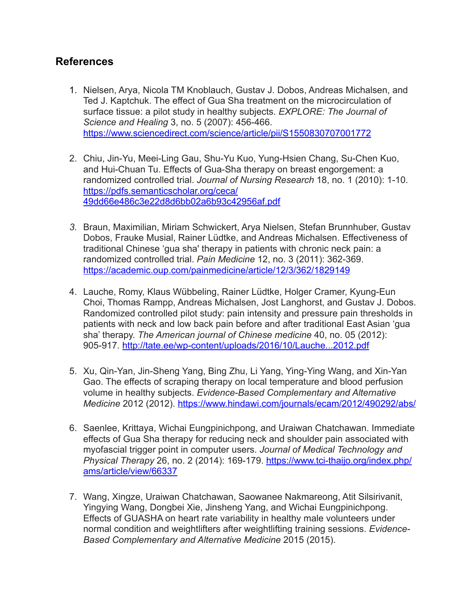### **References**

- 1. Nielsen, Arya, Nicola TM Knoblauch, Gustav J. Dobos, Andreas Michalsen, and Ted J. Kaptchuk. The effect of Gua Sha treatment on the microcirculation of surface tissue: a pilot study in healthy subjects. *EXPLORE: The Journal of Science and Healing* 3, no. 5 (2007): 456-466. <https://www.sciencedirect.com/science/article/pii/S1550830707001772>
- 2. Chiu, Jin-Yu, Meei-Ling Gau, Shu-Yu Kuo, Yung-Hsien Chang, Su-Chen Kuo, and Hui-Chuan Tu. Effects of Gua-Sha therapy on breast engorgement: a randomized controlled trial. *Journal of Nursing Research* 18, no. 1 (2010): 1-10. [https://pdfs.semanticscholar.org/ceca/](https://pdfs.semanticscholar.org/ceca/49dd66e486c3e22d8d6bb02a6b93c42956af.pdf) [49dd66e486c3e22d8d6bb02a6b93c42956af.pdf](https://pdfs.semanticscholar.org/ceca/49dd66e486c3e22d8d6bb02a6b93c42956af.pdf)
- *3.* Braun, Maximilian, Miriam Schwickert, Arya Nielsen, Stefan Brunnhuber, Gustav Dobos, Frauke Musial, Rainer Lüdtke, and Andreas Michalsen. Effectiveness of traditional Chinese 'gua sha' therapy in patients with chronic neck pain: a randomized controlled trial. *Pain Medicine* 12, no. 3 (2011): 362-369. <https://academic.oup.com/painmedicine/article/12/3/362/1829149>
- 4. Lauche, Romy, Klaus Wübbeling, Rainer Lüdtke, Holger Cramer, Kyung-Eun Choi, Thomas Rampp, Andreas Michalsen, Jost Langhorst, and Gustav J. Dobos. Randomized controlled pilot study: pain intensity and pressure pain thresholds in patients with neck and low back pain before and after traditional East Asian 'gua sha' therapy. *The American journal of Chinese medicine* 40, no. 05 (2012): 905-917. <http://tate.ee/wp-content/uploads/2016/10/Lauche...2012.pdf>
- 5. Xu, Qin-Yan, Jin-Sheng Yang, Bing Zhu, Li Yang, Ying-Ying Wang, and Xin-Yan Gao. The effects of scraping therapy on local temperature and blood perfusion volume in healthy subjects. *Evidence-Based Complementary and Alternative Medicine* 2012 (2012). <https://www.hindawi.com/journals/ecam/2012/490292/abs/>
- 6. Saenlee, Krittaya, Wichai Eungpinichpong, and Uraiwan Chatchawan. Immediate effects of Gua Sha therapy for reducing neck and shoulder pain associated with myofascial trigger point in computer users. *Journal of Medical Technology and Physical Therapy* 26, no. 2 (2014): 169-179. [https://www.tci-thaijo.org/index.php/](https://www.tci-thaijo.org/index.php/ams/article/view/66337) [ams/article/view/66337](https://www.tci-thaijo.org/index.php/ams/article/view/66337)
- 7. Wang, Xingze, Uraiwan Chatchawan, Saowanee Nakmareong, Atit Silsirivanit, Yingying Wang, Dongbei Xie, Jinsheng Yang, and Wichai Eungpinichpong. Effects of GUASHA on heart rate variability in healthy male volunteers under normal condition and weightlifters after weightlifting training sessions. *Evidence-Based Complementary and Alternative Medicine* 2015 (2015).